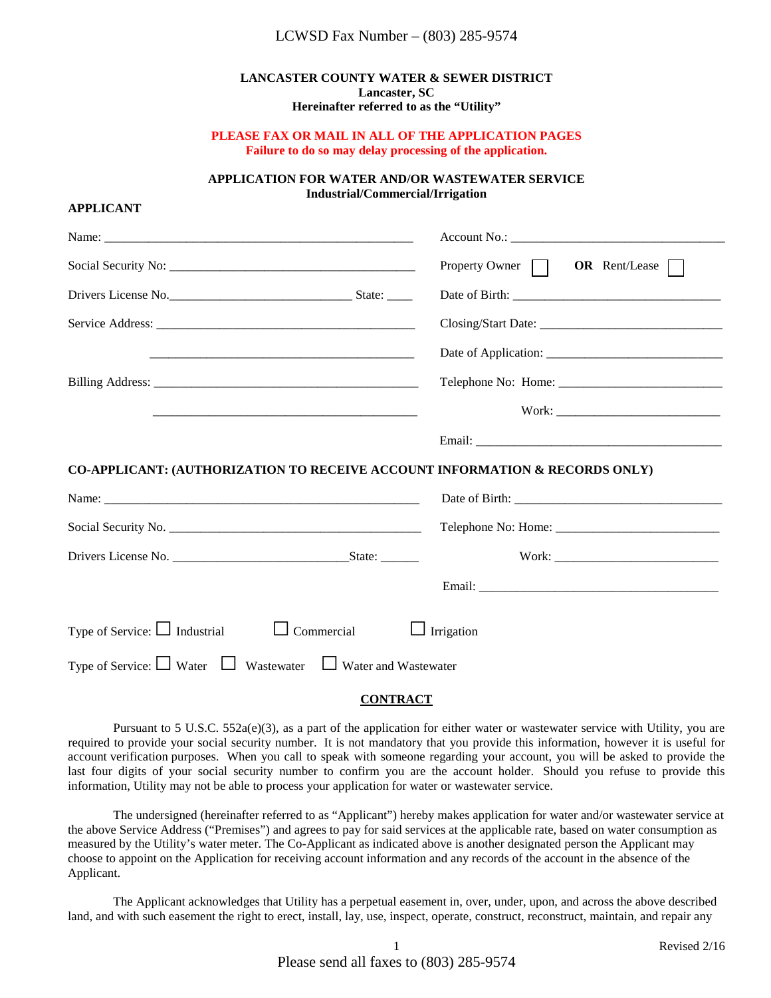#### **LANCASTER COUNTY WATER & SEWER DISTRICT Lancaster, SC Hereinafter referred to as the "Utility"**

#### **PLEASE FAX OR MAIL IN ALL OF THE APPLICATION PAGES Failure to do so may delay processing of the application.**

#### **APPLICATION FOR WATER AND/OR WASTEWATER SERVICE Industrial/Commercial/Irrigation**

#### **APPLICANT**

|                                                                             | Property Owner $\Box$ OR Rent/Lease $\Box$ |  |  |
|-----------------------------------------------------------------------------|--------------------------------------------|--|--|
|                                                                             |                                            |  |  |
|                                                                             |                                            |  |  |
|                                                                             |                                            |  |  |
|                                                                             |                                            |  |  |
|                                                                             |                                            |  |  |
|                                                                             |                                            |  |  |
| CO-APPLICANT: (AUTHORIZATION TO RECEIVE ACCOUNT INFORMATION & RECORDS ONLY) |                                            |  |  |
|                                                                             |                                            |  |  |
|                                                                             |                                            |  |  |
|                                                                             |                                            |  |  |
|                                                                             |                                            |  |  |
| Type of Service: $\Box$ Industrial<br>$\Box$ Commercial                     | Irrigation                                 |  |  |
| Type of Service: $\Box$ Water $\Box$ Wastewater $\Box$ Water and Wastewater |                                            |  |  |

### **CONTRACT**

Pursuant to 5 U.S.C. 552a(e)(3), as a part of the application for either water or wastewater service with Utility, you are required to provide your social security number. It is not mandatory that you provide this information, however it is useful for account verification purposes. When you call to speak with someone regarding your account, you will be asked to provide the last four digits of your social security number to confirm you are the account holder. Should you refuse to provide this information, Utility may not be able to process your application for water or wastewater service.

The undersigned (hereinafter referred to as "Applicant") hereby makes application for water and/or wastewater service at the above Service Address ("Premises") and agrees to pay for said services at the applicable rate, based on water consumption as measured by the Utility's water meter. The Co-Applicant as indicated above is another designated person the Applicant may choose to appoint on the Application for receiving account information and any records of the account in the absence of the Applicant.

The Applicant acknowledges that Utility has a perpetual easement in, over, under, upon, and across the above described land, and with such easement the right to erect, install, lay, use, inspect, operate, construct, reconstruct, maintain, and repair any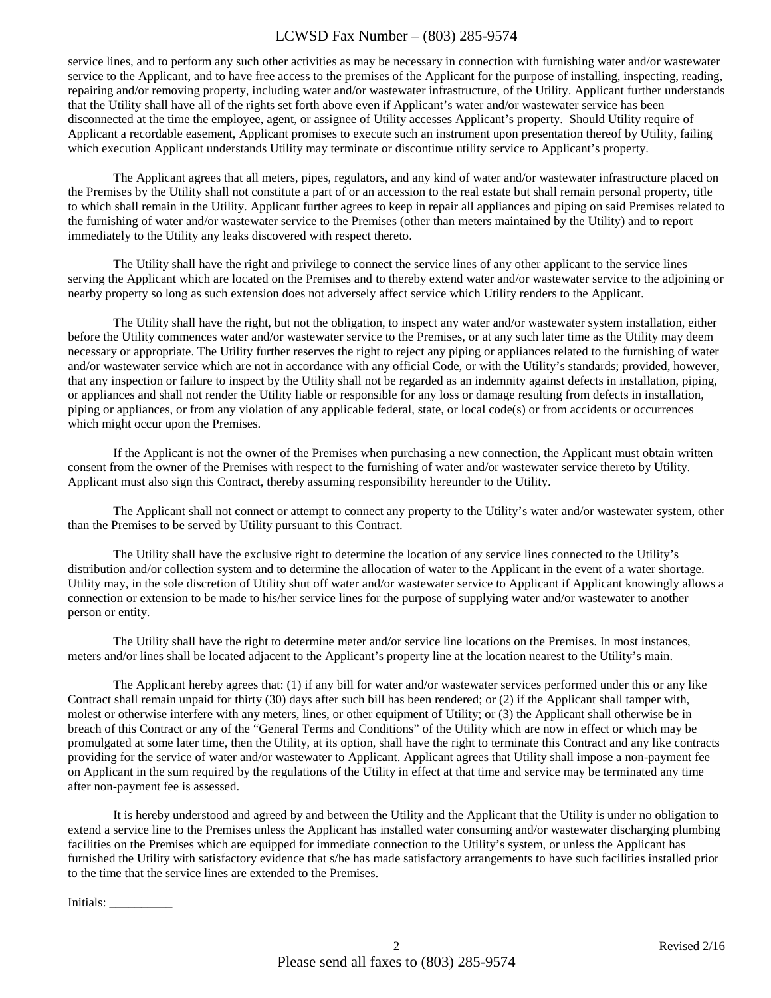service lines, and to perform any such other activities as may be necessary in connection with furnishing water and/or wastewater service to the Applicant, and to have free access to the premises of the Applicant for the purpose of installing, inspecting, reading, repairing and/or removing property, including water and/or wastewater infrastructure, of the Utility. Applicant further understands that the Utility shall have all of the rights set forth above even if Applicant's water and/or wastewater service has been disconnected at the time the employee, agent, or assignee of Utility accesses Applicant's property. Should Utility require of Applicant a recordable easement, Applicant promises to execute such an instrument upon presentation thereof by Utility, failing which execution Applicant understands Utility may terminate or discontinue utility service to Applicant's property.

The Applicant agrees that all meters, pipes, regulators, and any kind of water and/or wastewater infrastructure placed on the Premises by the Utility shall not constitute a part of or an accession to the real estate but shall remain personal property, title to which shall remain in the Utility. Applicant further agrees to keep in repair all appliances and piping on said Premises related to the furnishing of water and/or wastewater service to the Premises (other than meters maintained by the Utility) and to report immediately to the Utility any leaks discovered with respect thereto.

The Utility shall have the right and privilege to connect the service lines of any other applicant to the service lines serving the Applicant which are located on the Premises and to thereby extend water and/or wastewater service to the adjoining or nearby property so long as such extension does not adversely affect service which Utility renders to the Applicant.

The Utility shall have the right, but not the obligation, to inspect any water and/or wastewater system installation, either before the Utility commences water and/or wastewater service to the Premises, or at any such later time as the Utility may deem necessary or appropriate. The Utility further reserves the right to reject any piping or appliances related to the furnishing of water and/or wastewater service which are not in accordance with any official Code, or with the Utility's standards; provided, however, that any inspection or failure to inspect by the Utility shall not be regarded as an indemnity against defects in installation, piping, or appliances and shall not render the Utility liable or responsible for any loss or damage resulting from defects in installation, piping or appliances, or from any violation of any applicable federal, state, or local code(s) or from accidents or occurrences which might occur upon the Premises.

If the Applicant is not the owner of the Premises when purchasing a new connection, the Applicant must obtain written consent from the owner of the Premises with respect to the furnishing of water and/or wastewater service thereto by Utility. Applicant must also sign this Contract, thereby assuming responsibility hereunder to the Utility.

The Applicant shall not connect or attempt to connect any property to the Utility's water and/or wastewater system, other than the Premises to be served by Utility pursuant to this Contract.

The Utility shall have the exclusive right to determine the location of any service lines connected to the Utility's distribution and/or collection system and to determine the allocation of water to the Applicant in the event of a water shortage. Utility may, in the sole discretion of Utility shut off water and/or wastewater service to Applicant if Applicant knowingly allows a connection or extension to be made to his/her service lines for the purpose of supplying water and/or wastewater to another person or entity.

The Utility shall have the right to determine meter and/or service line locations on the Premises. In most instances, meters and/or lines shall be located adjacent to the Applicant's property line at the location nearest to the Utility's main.

The Applicant hereby agrees that: (1) if any bill for water and/or wastewater services performed under this or any like Contract shall remain unpaid for thirty (30) days after such bill has been rendered; or (2) if the Applicant shall tamper with, molest or otherwise interfere with any meters, lines, or other equipment of Utility; or (3) the Applicant shall otherwise be in breach of this Contract or any of the "General Terms and Conditions" of the Utility which are now in effect or which may be promulgated at some later time, then the Utility, at its option, shall have the right to terminate this Contract and any like contracts providing for the service of water and/or wastewater to Applicant. Applicant agrees that Utility shall impose a non-payment fee on Applicant in the sum required by the regulations of the Utility in effect at that time and service may be terminated any time after non-payment fee is assessed.

It is hereby understood and agreed by and between the Utility and the Applicant that the Utility is under no obligation to extend a service line to the Premises unless the Applicant has installed water consuming and/or wastewater discharging plumbing facilities on the Premises which are equipped for immediate connection to the Utility's system, or unless the Applicant has furnished the Utility with satisfactory evidence that s/he has made satisfactory arrangements to have such facilities installed prior to the time that the service lines are extended to the Premises.

Initials: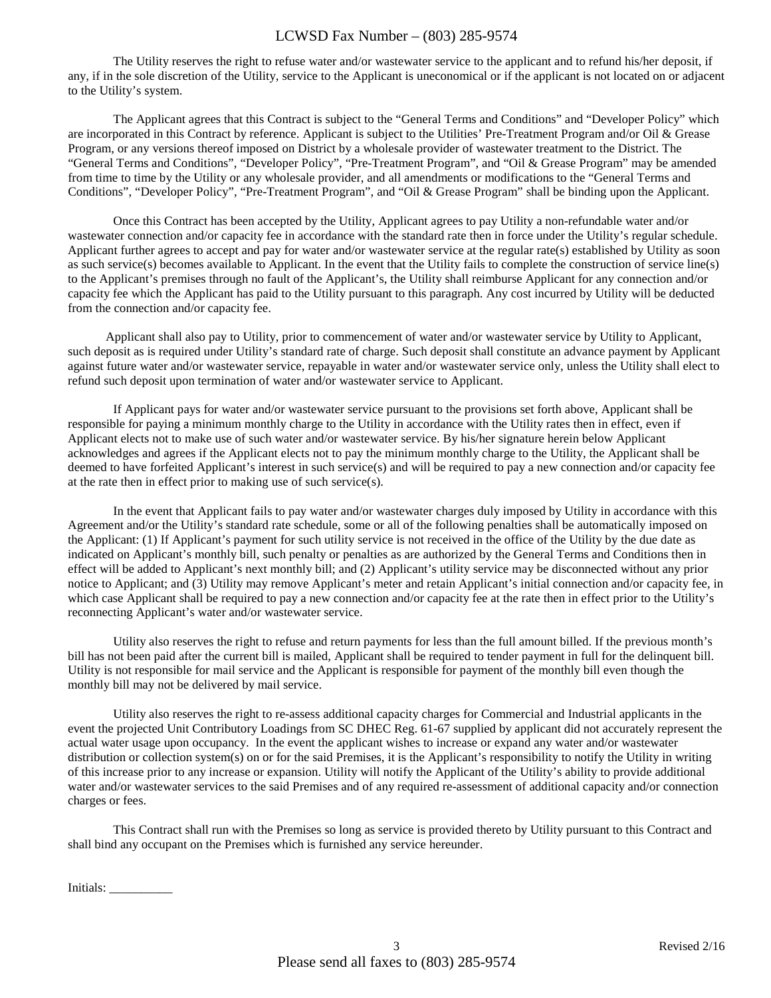The Utility reserves the right to refuse water and/or wastewater service to the applicant and to refund his/her deposit, if any, if in the sole discretion of the Utility, service to the Applicant is uneconomical or if the applicant is not located on or adjacent to the Utility's system.

The Applicant agrees that this Contract is subject to the "General Terms and Conditions" and "Developer Policy" which are incorporated in this Contract by reference. Applicant is subject to the Utilities' Pre-Treatment Program and/or Oil & Grease Program, or any versions thereof imposed on District by a wholesale provider of wastewater treatment to the District. The "General Terms and Conditions", "Developer Policy", "Pre-Treatment Program", and "Oil & Grease Program" may be amended from time to time by the Utility or any wholesale provider, and all amendments or modifications to the "General Terms and Conditions", "Developer Policy", "Pre-Treatment Program", and "Oil & Grease Program" shall be binding upon the Applicant.

Once this Contract has been accepted by the Utility, Applicant agrees to pay Utility a non-refundable water and/or wastewater connection and/or capacity fee in accordance with the standard rate then in force under the Utility's regular schedule. Applicant further agrees to accept and pay for water and/or wastewater service at the regular rate(s) established by Utility as soon as such service(s) becomes available to Applicant. In the event that the Utility fails to complete the construction of service line(s) to the Applicant's premises through no fault of the Applicant's, the Utility shall reimburse Applicant for any connection and/or capacity fee which the Applicant has paid to the Utility pursuant to this paragraph. Any cost incurred by Utility will be deducted from the connection and/or capacity fee.

 Applicant shall also pay to Utility, prior to commencement of water and/or wastewater service by Utility to Applicant, such deposit as is required under Utility's standard rate of charge. Such deposit shall constitute an advance payment by Applicant against future water and/or wastewater service, repayable in water and/or wastewater service only, unless the Utility shall elect to refund such deposit upon termination of water and/or wastewater service to Applicant.

If Applicant pays for water and/or wastewater service pursuant to the provisions set forth above, Applicant shall be responsible for paying a minimum monthly charge to the Utility in accordance with the Utility rates then in effect, even if Applicant elects not to make use of such water and/or wastewater service. By his/her signature herein below Applicant acknowledges and agrees if the Applicant elects not to pay the minimum monthly charge to the Utility, the Applicant shall be deemed to have forfeited Applicant's interest in such service(s) and will be required to pay a new connection and/or capacity fee at the rate then in effect prior to making use of such service(s).

In the event that Applicant fails to pay water and/or wastewater charges duly imposed by Utility in accordance with this Agreement and/or the Utility's standard rate schedule, some or all of the following penalties shall be automatically imposed on the Applicant: (1) If Applicant's payment for such utility service is not received in the office of the Utility by the due date as indicated on Applicant's monthly bill, such penalty or penalties as are authorized by the General Terms and Conditions then in effect will be added to Applicant's next monthly bill; and (2) Applicant's utility service may be disconnected without any prior notice to Applicant; and (3) Utility may remove Applicant's meter and retain Applicant's initial connection and/or capacity fee, in which case Applicant shall be required to pay a new connection and/or capacity fee at the rate then in effect prior to the Utility's reconnecting Applicant's water and/or wastewater service.

Utility also reserves the right to refuse and return payments for less than the full amount billed. If the previous month's bill has not been paid after the current bill is mailed, Applicant shall be required to tender payment in full for the delinquent bill. Utility is not responsible for mail service and the Applicant is responsible for payment of the monthly bill even though the monthly bill may not be delivered by mail service.

Utility also reserves the right to re-assess additional capacity charges for Commercial and Industrial applicants in the event the projected Unit Contributory Loadings from SC DHEC Reg. 61-67 supplied by applicant did not accurately represent the actual water usage upon occupancy. In the event the applicant wishes to increase or expand any water and/or wastewater distribution or collection system(s) on or for the said Premises, it is the Applicant's responsibility to notify the Utility in writing of this increase prior to any increase or expansion. Utility will notify the Applicant of the Utility's ability to provide additional water and/or wastewater services to the said Premises and of any required re-assessment of additional capacity and/or connection charges or fees.

This Contract shall run with the Premises so long as service is provided thereto by Utility pursuant to this Contract and shall bind any occupant on the Premises which is furnished any service hereunder.

Initials: \_\_\_\_\_\_\_\_\_\_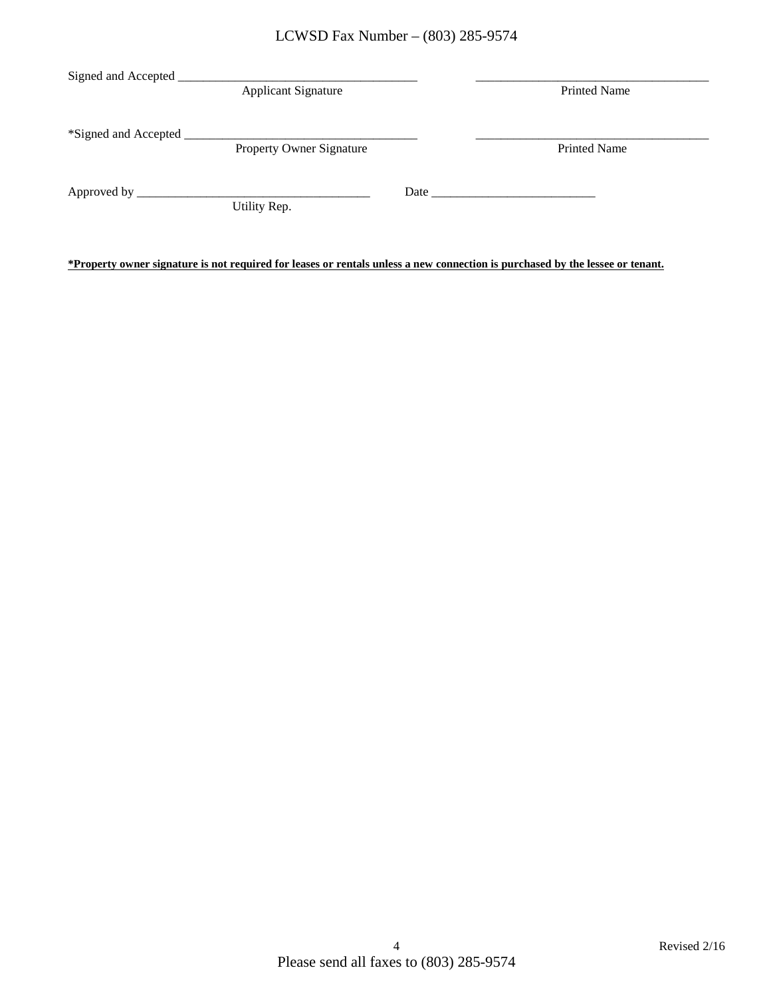| Signed and Accepted                  |                                 |      |                     |
|--------------------------------------|---------------------------------|------|---------------------|
|                                      | <b>Applicant Signature</b>      |      | <b>Printed Name</b> |
|                                      |                                 |      |                     |
| *Signed and Accepted                 |                                 |      |                     |
|                                      | <b>Property Owner Signature</b> |      | <b>Printed Name</b> |
|                                      |                                 |      |                     |
| Approved by $\overline{\phantom{a}}$ |                                 | Date |                     |
|                                      | Utility Rep.                    |      |                     |
|                                      |                                 |      |                     |

**\*Property owner signature is not required for leases or rentals unless a new connection is purchased by the lessee or tenant.**